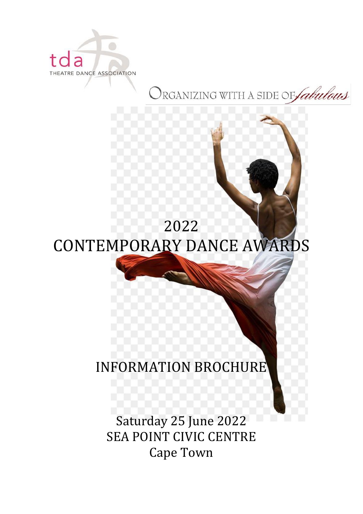

ORGANIZING WITH A SIDE OF *fabulous* 

# 2022 CONTEMPORARY DANCE AWARDS

## INFORMATION BROCHURE

## Saturday 25 June 2022 SEA POINT CIVIC CENTRE Cape Town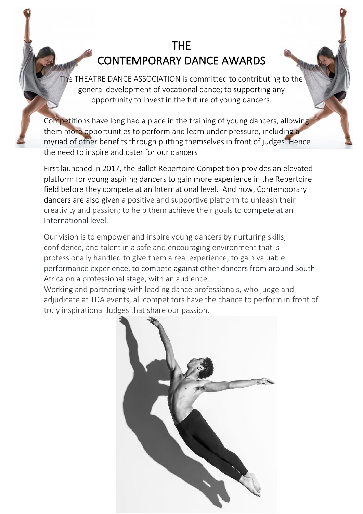## THE CONTEMPORARY DANCE AWARDS

The THEATRE DANCE ASSOCIATION is committed to contributing to the general development of vocational dance; to supporting any opportunity to invest in the future of young dancers.

Competitions have long had a place in the training of young dancers, allowing them more opportunities to perform and learn under pressure, including a myriad of other benefits through putting themselves in front of judges. Hence the need to inspire and cater for our dancers

First launched in 2017, the Ballet Repertoire Competition provides an elevated platform for young aspiring dancers to gain more experience in the Repertoire field before they compete at an International level. And now, Contemporary dancers are also given a positive and supportive platform to unleash their creativity and passion; to help them achieve their goals to compete at an International level.

Our vision is to empower and inspire young dancers by nurturing skills, confidence, and talent in a safe and encouraging environment that is professionally handled to give them a real experience, to gain valuable performance experience, to compete against other dancers from around South Africa on a professional stage, with an audience.

Working and partnering with leading dance professionals, who judge and adjudicate at TDA events, all competitors have the chance to perform in front of truly inspirational Judges that share our passion.

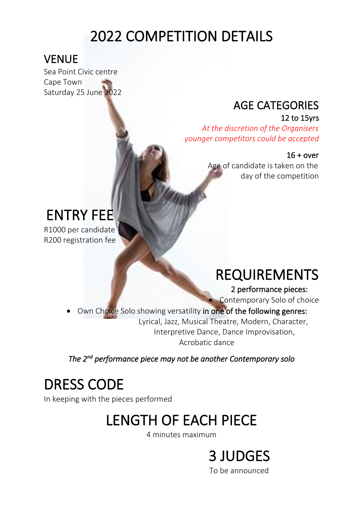# 2022 COMPETITION DETAILS

## VENUE

Sea Point Civic centre Cape Town Saturday 25 June 2022

## AGE CATEGORIES

 12 to 15yrs  *At the discretion of the Organisers younger competitors could be accepted*

#### $16 + over$

 Age of candidate is taken on the day of the competition

# ENTRY FEE

R1000 per candidate R200 registration fee

# REQUIREMENTS

2 performance pieces:

• Contemporary Solo of choice Own Choice Solo showing versatility in one of the following genres: Lyrical, Jazz, Musical Theatre, Modern, Character, Interpretive Dance, Dance Improvisation, Acrobatic dance

*The 2nd performance piece may not be another Contemporary solo* 

# DRESS CODE

In keeping with the pieces performed

# LENGTH OF EACH PIECE

4 minutes maximum

 3 JUDGES To be announced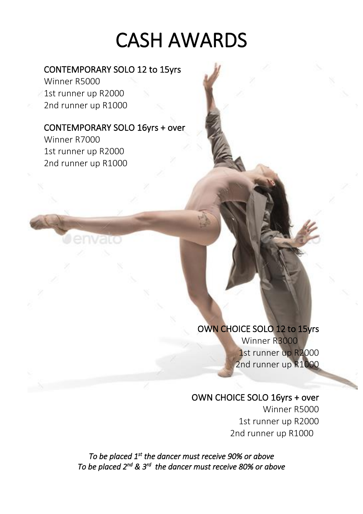# CASH AWARDS

i

١

#### CONTEMPORARY SOLO 12 to 15yrs

Winner R5000 1st runner up R2000 2nd runner up R1000

#### CONTEMPORARY SOLO 16yrs + over

Winner R7000 1st runner up R2000 2nd runner up R1000

#### OWN CHOICE SOLO 12 to 15yrs

Winner R3000 1st runner up R2000 2nd runner up R1000

OWN CHOICE SOLO 16yrs + over Winner R5000 1st runner up R2000 2nd runner up R1000

*To be placed 1st the dancer must receive 90% or above To be placed 2 nd & 3rd the dancer must receive 80% or above*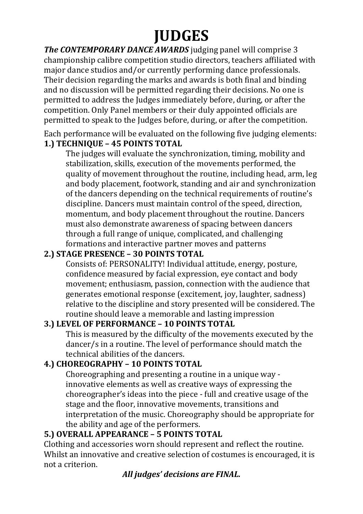# **JUDGES**

*The CONTEMPORARY DANCE AWARDS* judging panel will comprise 3 championship calibre competition studio directors, teachers affiliated with major dance studios and/or currently performing dance professionals. Their decision regarding the marks and awards is both final and binding and no discussion will be permitted regarding their decisions. No one is permitted to address the Judges immediately before, during, or after the competition. Only Panel members or their duly appointed officials are permitted to speak to the Judges before, during, or after the competition.

Each performance will be evaluated on the following five judging elements: **1.) TECHNIQUE – 45 POINTS TOTAL** 

The judges will evaluate the synchronization, timing, mobility and stabilization, skills, execution of the movements performed, the quality of movement throughout the routine, including head, arm, leg and body placement, footwork, standing and air and synchronization of the dancers depending on the technical requirements of routine's discipline. Dancers must maintain control of the speed, direction, momentum, and body placement throughout the routine. Dancers must also demonstrate awareness of spacing between dancers through a full range of unique, complicated, and challenging formations and interactive partner moves and patterns

#### **2.) STAGE PRESENCE – 30 POINTS TOTAL**

Consists of: PERSONALITY! Individual attitude, energy, posture, confidence measured by facial expression, eye contact and body movement; enthusiasm, passion, connection with the audience that generates emotional response (excitement, joy, laughter, sadness) relative to the discipline and story presented will be considered. The routine should leave a memorable and lasting impression

#### **3.) LEVEL OF PERFORMANCE – 10 POINTS TOTAL**

This is measured by the difficulty of the movements executed by the dancer/s in a routine. The level of performance should match the technical abilities of the dancers.

#### **4.) CHOREOGRAPHY – 10 POINTS TOTAL**

Choreographing and presenting a routine in a unique way innovative elements as well as creative ways of expressing the choreographer's ideas into the piece - full and creative usage of the stage and the floor, innovative movements, transitions and interpretation of the music. Choreography should be appropriate for the ability and age of the performers.

#### **5.) OVERALL APPEARANCE – 5 POINTS TOTAL**

Clothing and accessories worn should represent and reflect the routine. Whilst an innovative and creative selection of costumes is encouraged, it is not a criterion.

#### *All judges' decisions are FINAL.*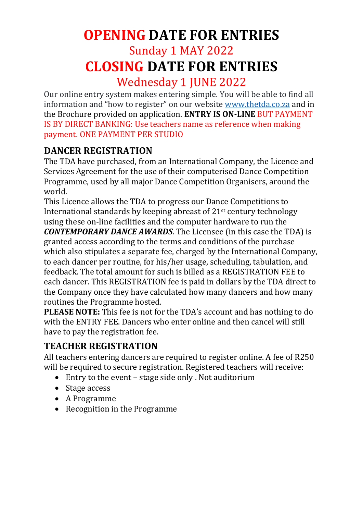# **OPENING DATE FOR ENTRIES**

# Sunday 1 MAY 2022 **CLOSING DATE FOR ENTRIES**

Wednesday 1 JUNE 2022

Our online entry system makes entering simple. You will be able to find all information and "how to register" on our website [www.thetda.co.za](http://www.thetda.co.za/) and in the Brochure provided on application. **ENTRY IS ON-LINE** BUT PAYMENT IS BY DIRECT BANKING: Use teachers name as reference when making payment. ONE PAYMENT PER STUDIO

#### **DANCER REGISTRATION**

The TDA have purchased, from an International Company, the Licence and Services Agreement for the use of their computerised Dance Competition Programme, used by all major Dance Competition Organisers, around the world.

This Licence allows the TDA to progress our Dance Competitions to International standards by keeping abreast of 21st century technology using these on-line facilities and the computer hardware to run the

*CONTEMPORARY DANCE AWARDS*. The Licensee (in this case the TDA) is granted access according to the terms and conditions of the purchase which also stipulates a separate fee, charged by the International Company, to each dancer per routine, for his/her usage, scheduling, tabulation, and feedback. The total amount for such is billed as a REGISTRATION FEE to each dancer. This REGISTRATION fee is paid in dollars by the TDA direct to the Company once they have calculated how many dancers and how many routines the Programme hosted.

**PLEASE NOTE:** This fee is not for the TDA's account and has nothing to do with the ENTRY FEE. Dancers who enter online and then cancel will still have to pay the registration fee.

### **TEACHER REGISTRATION**

All teachers entering dancers are required to register online. A fee of R250 will be required to secure registration. Registered teachers will receive:

- Entry to the event stage side only . Not auditorium
- Stage access
- A Programme
- Recognition in the Programme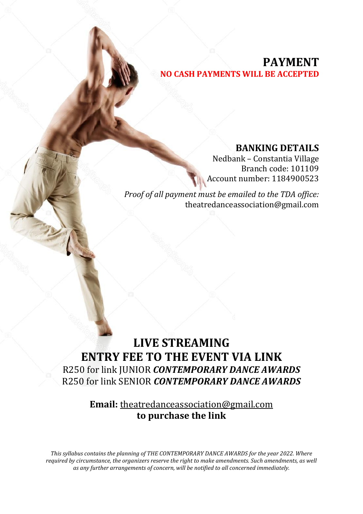#### **PAYMENT NO CASH PAYMENTS WILL BE ACCEPTED**

#### **BANKING DETAILS**

Nedbank – Constantia Village Branch code: 101109 Account number: 1184900523

*Proof of all payment must be emailed to the TDA office:* theatredanceassociation@gmail.com

## **LIVE STREAMING ENTRY FEE TO THE EVENT VIA LINK** R250 for link JUNIOR *CONTEMPORARY DANCE AWARDS* R250 for link SENIOR *CONTEMPORARY DANCE AWARDS*

#### **Email:** theatredanc[eassociation@gmail.com](mailto:association@gmail.com) **to purchase the link**

*This syllabus contains the planning of THE CONTEMPORARY DANCE AWARDS for the year 2022. Where required by circumstance, the organizers reserve the right to make amendments. Such amendments, as well as any further arrangements of concern, will be notified to all concerned immediately.*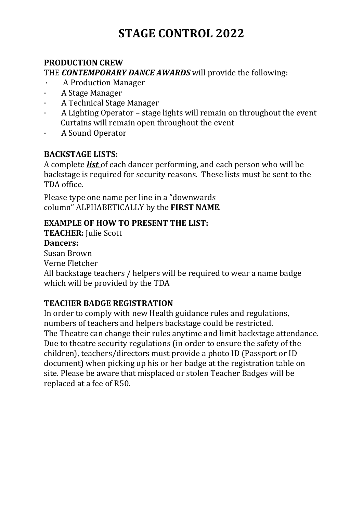## **STAGE CONTROL 2022**

#### **PRODUCTION CREW** THE *CONTEMPORARY DANCE AWARDS* will provide the following:

- · A Production Manager
- · A Stage Manager
- · A Technical Stage Manager
- · A Lighting Operator stage lights will remain on throughout the event Curtains will remain open throughout the event
- · A Sound Operator

#### **BACKSTAGE LISTS:**

A complete *list* of each dancer performing, and each person who will be backstage is required for security reasons. These lists must be sent to the TDA office.

Please type one name per line in a "downwards column" ALPHABETICALLY by the **FIRST NAME**.

#### **EXAMPLE OF HOW TO PRESENT THE LIST:**

**TEACHER:** Julie Scott

#### **Dancers:**

Susan Brown Verne Fletcher All backstage teachers / helpers will be required to wear a name badge which will be provided by the TDA

#### **TEACHER BADGE REGISTRATION**

In order to comply with new Health guidance rules and regulations, numbers of teachers and helpers backstage could be restricted. The Theatre can change their rules anytime and limit backstage attendance. Due to theatre security regulations (in order to ensure the safety of the children), teachers/directors must provide a photo ID (Passport or ID document) when picking up his or her badge at the registration table on site. Please be aware that misplaced or stolen Teacher Badges will be replaced at a fee of R50.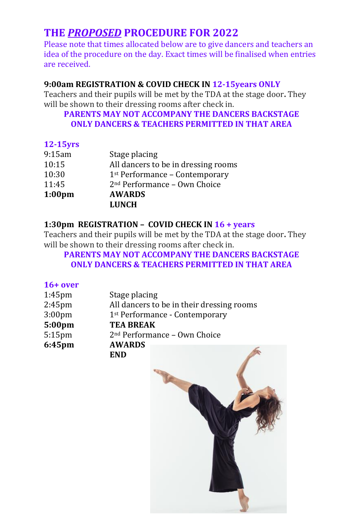## **THE** *PROPOSED* **PROCEDURE FOR 2022**

Please note that times allocated below are to give dancers and teachers an idea of the procedure on the day. Exact times will be finalised when entries are received.

#### **9:00am REGISTRATION & COVID CHECK IN 12-15years ONLY**

Teachers and their pupils will be met by the TDA at the stage door**.** They will be shown to their dressing rooms after check in.

#### **PARENTS MAY NOT ACCOMPANY THE DANCERS BACKSTAGE ONLY DANCERS & TEACHERS PERMITTED IN THAT AREA**

#### **12-15yrs**

|                    | <b>LUNCH</b>                               |
|--------------------|--------------------------------------------|
| 1:00 <sub>pm</sub> | <b>AWARDS</b>                              |
| 11:45              | 2 <sup>nd</sup> Performance - Own Choice   |
| 10:30              | 1 <sup>st</sup> Performance – Contemporary |
| 10:15              | All dancers to be in dressing rooms        |
| 9:15am             | Stage placing                              |

#### **1:30pm REGISTRATION – COVID CHECK IN 16 + years**

Teachers and their pupils will be met by the TDA at the stage door**.** They will be shown to their dressing rooms after check in.

#### **PARENTS MAY NOT ACCOMPANY THE DANCERS BACKSTAGE ONLY DANCERS & TEACHERS PERMITTED IN THAT AREA**

#### **16+ over**

| $1:45$ pm          | Stage placing                              |
|--------------------|--------------------------------------------|
| $2:45$ pm          | All dancers to be in their dressing rooms  |
| 3:00 <sub>pm</sub> | 1 <sup>st</sup> Performance - Contemporary |
| 5:00pm             | <b>TEA BREAK</b>                           |
| $5:15$ pm          | 2 <sup>nd</sup> Performance - Own Choice   |
| 6:45pm             | <b>AWARDS</b>                              |
|                    | <b>END</b>                                 |

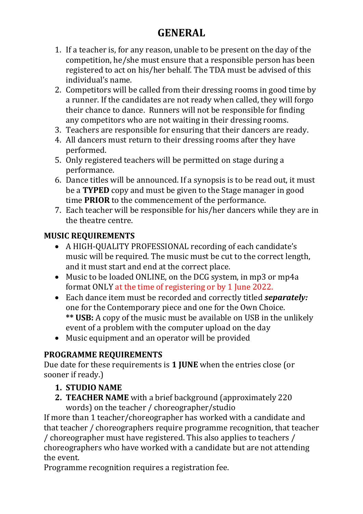## **GENERAL**

- 1. If a teacher is, for any reason, unable to be present on the day of the competition, he/she must ensure that a responsible person has been registered to act on his/her behalf. The TDA must be advised of this individual's name.
- 2. Competitors will be called from their dressing rooms in good time by a runner. If the candidates are not ready when called, they will forgo their chance to dance. Runners will not be responsible for finding any competitors who are not waiting in their dressing rooms.
- 3. Teachers are responsible for ensuring that their dancers are ready.
- 4. All dancers must return to their dressing rooms after they have performed.
- 5. Only registered teachers will be permitted on stage during a performance.
- 6. Dance titles will be announced. If a synopsis is to be read out, it must be a **TYPED** copy and must be given to the Stage manager in good time **PRIOR** to the commencement of the performance.
- 7. Each teacher will be responsible for his/her dancers while they are in the theatre centre.

#### **MUSIC REQUIREMENTS**

- A HIGH-QUALITY PROFESSIONAL recording of each candidate's music will be required. The music must be cut to the correct length, and it must start and end at the correct place.
- Music to be loaded ONLINE, on the DCG system, in mp3 or mp4a format ONLY at the time of registering or by 1 June 2022.
- Each dance item must be recorded and correctly titled *separately:* one for the Contemporary piece and one for the Own Choice. **\*\* USB:** A copy of the music must be available on USB in the unlikely event of a problem with the computer upload on the day
- Music equipment and an operator will be provided

#### **PROGRAMME REQUIREMENTS**

Due date for these requirements is **1 JUNE** when the entries close (or sooner if ready.)

- **1. STUDIO NAME**
- **2. TEACHER NAME** with a brief background (approximately 220 words) on the teacher / choreographer/studio

If more than 1 teacher/choreographer has worked with a candidate and that teacher / choreographers require programme recognition, that teacher / choreographer must have registered. This also applies to teachers / choreographers who have worked with a candidate but are not attending the event.

Programme recognition requires a registration fee.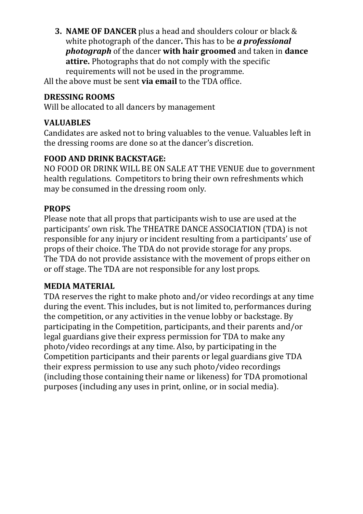**3. NAME OF DANCER** plus a head and shoulders colour or black & white photograph of the dancer**.** This has to be *a professional photograph* of the dancer **with hair groomed** and taken in **dance attire.** Photographs that do not comply with the specific requirements will not be used in the programme.

All the above must be sent **via email** to the TDA office.

#### **DRESSING ROOMS**

Will be allocated to all dancers by management

#### **VALUABLES**

Candidates are asked not to bring valuables to the venue. Valuables left in the dressing rooms are done so at the dancer's discretion.

#### **FOOD AND DRINK BACKSTAGE:**

NO FOOD OR DRINK WILL BE ON SALE AT THE VENUE due to government health regulations. Competitors to bring their own refreshments which may be consumed in the dressing room only.

#### **PROPS**

Please note that all props that participants wish to use are used at the participants' own risk. The THEATRE DANCE ASSOCIATION (TDA) is not responsible for any injury or incident resulting from a participants' use of props of their choice. The TDA do not provide storage for any props. The TDA do not provide assistance with the movement of props either on or off stage. The TDA are not responsible for any lost props.

#### **MEDIA MATERIAL**

TDA reserves the right to make photo and/or video recordings at any time during the event. This includes, but is not limited to, performances during the competition, or any activities in the venue lobby or backstage. By participating in the Competition, participants, and their parents and/or legal guardians give their express permission for TDA to make any photo/video recordings at any time. Also, by participating in the Competition participants and their parents or legal guardians give TDA their express permission to use any such photo/video recordings (including those containing their name or likeness) for TDA promotional purposes (including any uses in print, online, or in social media).